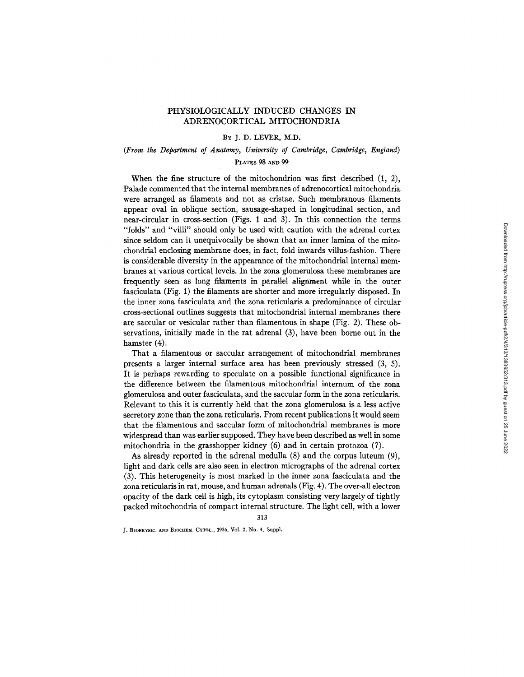# PHYSIOLOGICALLY INDUCED CHANGES IN ADRENOCORTICAL MITOCHONDRIA

### BY J. D. LEVER, M.D,

# *(From the Department of Anatomy, University of Cambridge, Cambridge, England)*  PLATES 98 AND 99

When the fine structure of the mitochondrion was first described (1, 2), Palade commented that the internal membranes of adrenocortical mitochondria were arranged as filaments and not as cristae. Such membranous filaments appear oval in oblique section, sausage-shaped in longitudinal section, and near-circular in cross-section (Figs. 1 and 3). In this connection the terms "folds" and "villi" should only be used with caution with the adrenal cortex since seldom can it unequivocally be shown that an inner lamina of the mitochondrial enclosing membrane does, in fact, fold inwards villus-fashion. There is considerable diversity in the appearance of the mitochondrial internal membranes at various cortical levels. In the zona glomerulosa these membranes are frequently seen as long filaments in parallel alignment while in the outer fasciculata (Fig. 1) the filaments are shorter and more irregularly disposed. In the inner zona fasciculata and the zona reticularis a predominance of circular cross-sectional outlines suggests that mitochondrial internal membranes there are saccular or vesicular rather than filamentous in shape (Fig. 2). These observations, initially made in the rat adrenal (3), have been borne out in the hamster (4).

That a filamentous or saccular arrangement of mitochondrial membranes presents a larger internal surface area has been previously stressed (3, 5). It is perhaps rewarding to speculate on a possible functional significance in the difference between the filamentous mitochondrial internum of the zona glomerulosa and outer fasciculata, and the saccular form in the zona reticularis. Relevant to this it is currently held that the zona glomerulosa is a less active secretory zone than the zona reticularis. From recent publications it would seem that the filamentous and saccular form of mitochondrial membranes is more widespread than was earlier supposed. They have been described as well in some mitochondria in the grasshopper kidney (6) and in certain protozoa (7).

As already reported in the adrenal medulla  $(8)$  and the corpus luteum  $(9)$ , light and dark cells are also seen in electron micrographs of the adrenal cortex (3). This heterogeneity is most marked in the inner zona fasciculata and the zona reticularis in rat, mouse, and human adrenals (Fig. 4). The over-all electron opacity of the dark cell is high, its cytoplasm consisting very largely of tightly packed mitochondria of compact internal structure. The light cell, with a lower

313

J. BIOPHYSIC. AND BIOCHEM. CYTOL., 1956, Vol. 2, No. 4, Suppl.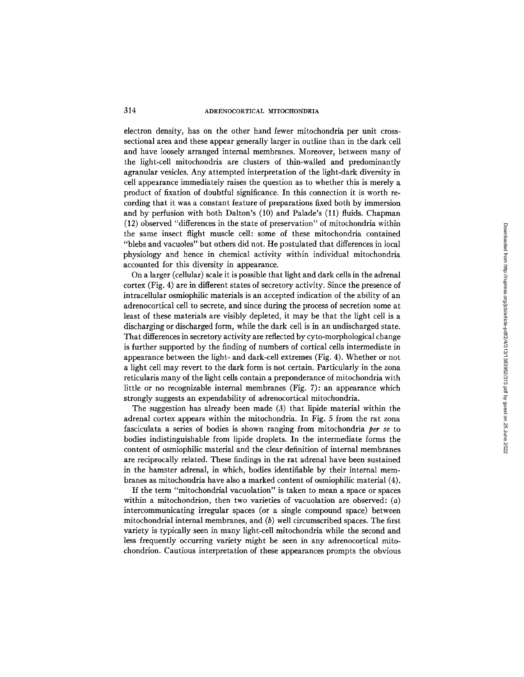### 314 ADRENOCORTICAL MITOCHONDRIA

electron density, has on the other hand fewer mitochondria per unit crosssectional area and these appear generally larger in outline than in the dark cell and have loosely arranged internal membranes. Moreover, between many of the light-cell mitochondria are clusters of thin-walled and predominantly agranular vesicles. Any attempted interpretation of the light-dark diversity in cell appearance immediately raises the question as to whether this is merely a product of fixation of doubtful significance. In this connection it is worth recording that it was a constant feature of preparations fixed both by immersion and by perfusion with both Dalton's (10) and Palade's (11) fluids. Chapman (12) observed "differences in the state of preservation" of mitochondria within the same insect flight muscle cell: some of these mitochondria contained "blebs and vacuoles" but others did not. He postulated that differences in local physiology and hence in chemical activity within individual mitochondria accounted for this diversity in appearance.

On a larger (cellular) scale it is possible that light and dark cells in the adrenal cortex (Fig. 4) are in different states of secretory activity. Since the presence of intracellular osmiophilic materials is an accepted indication of the ability of an adrenocortical cell to secrete, and since during the process of secretion some at least of these materials are visibly depleted, it may be that the light cell is a discharging or discharged form, while the dark cell is in an undischarged state. That differences in secretory activity are reflected by cyto-morphological change is further supported by the finding of numbers of cortical cells intermediate in appearance between the light- and dark-cell extremes (Fig. 4). Whether or not a light cell may revert to the dark form is not certain. Particularly in the zona reticularis many of the light cells contain a preponderance of mitochondria with little or no recognizable internal membranes (Fig. 7): an appearance which strongly suggests an expendability of adrenocortical mitochondria.

The suggestion has already been made (3) that lipide material within the adrenal cortex appears within the mitochondria. In Fig. 5 from the rat zona fasciculata a series of bodies is shown ranging from mitochondria *per se* to bodies indistinguishable from lipide droplets. In the intermediate forms the content of osmiophilic material and the clear definition of internal membranes are reciprocally related. These findings in the rat adrenal have been sustained in the hamster adrenal, in which, bodies identifiable by their internal membranes as mitochondria have also a marked content of osmiophilic material (4).

If the term "mitochondrial vacuolation" is taken to mean a space or spaces within a mitochondrion, then two varieties of vacuolation are observed:  $(a)$ intercommunicating irregular spaces (or a single compound space) between mitochondrial internal membranes, and  $(b)$  well circumscribed spaces. The first variety is typically seen in many light-cell mitochondria while the second and less frequently occurring variety might be seen in any adrenocortical mitochondrion. Cautious interpretation of these appearances prompts the obvious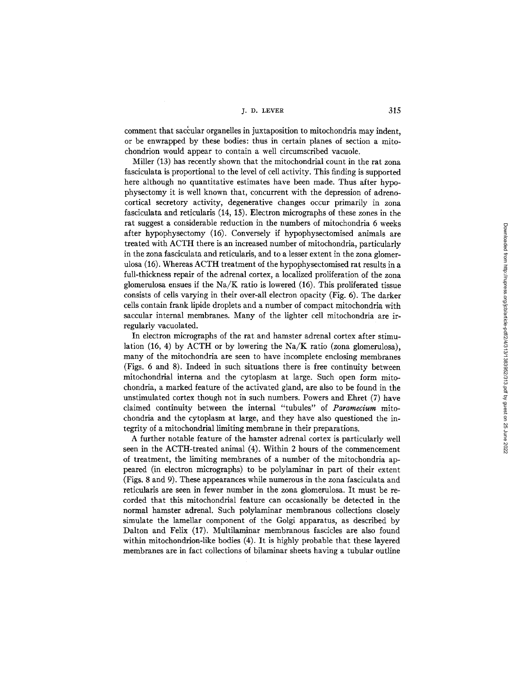j. D. LEVER 315

comment that saccular organelles in juxtaposition to mitochondria may indent. or be enwrapped by these bodies: thus in certain planes of section a mitochondrion would appear to contain a well circumscribed vacuole.

Miller (13) has recently shown that the mitochondrial count in the rat zona fasciculata is proportional to the level of cell activity. This finding is supported here although no quantitative estimates have been made. Thus after hypophysectomy it is well known that, concurrent with the depression of adrenocortical secretory activity, degenerative changes occur primarily in zona fasciculata and reticularis (14, 15). Electron micrographs of these zones in the rat suggest a considerable reduction in the numbers of mitochondria 6 weeks after hypophysectomy (16). Conversely if hypophysectomised animals are treated with ACTH there is an increased number of mitochondria, particularly in the zona fasciculata and reticularis, and to a lesser extent in the zona glomerulosa (16). Whereas ACTH treatment of the hypophysectomised rat results in a full-thickness repair of the adrenal cortex, a localized proliferation of the zona glomerulosa ensues if the  $Na/K$  ratio is lowered (16). This proliferated tissue consists of cells varying in their over-all electron opacity (Fig. 6). The darker cells contain frank lipide droplets and a number of compact mitochondria with saccular internal membranes. Many of the lighter cell mitochondria are irregularly vacuolated.

In electron micrographs of the rat and hamster adrenal cortex after stimulation (16, 4) by ACTH or by lowering the Na/K ratio (zona glomerulosa), many of the mitochondria are seen to have incomplete enclosing membranes (Figs. 6 and 8). Indeed in such situations there is free continuity between mitochondrial interna and the cytoplasm at large. Such open form mitochondria, a marked feature of the activated gland, are also to be found in the unstimulated cortex though not in such numbers. Powers and Ehret (7) have claimed continuity between the internal "tubules" of *Paramecium* mitochondria and the cytoplasm at large, and they have also questioned the integrity of a mitochondrial limiting membrane in their preparations.

A further notable feature of the hamster adrenal cortex is particularly well seen in the ACTH-treated animal (4). Within 2 hours of the commencement of treatment, the limiting membranes of a number of the mitochondria appeared (in electron micrographs) to be polylaminar in part of their extent (Figs. 8 and 9). These appearances while numerous in the zona fasciculata and reticularis are seen in fewer number in the zona glomerulosa. It must be recorded that this mitochondrial feature can occasionally be detected in the normal hamster adrenal. Such polylaminar membranous collections closely simulate the lamellar component of the Golgi apparatus, as described by Dalton and Felix (17). Multilaminar membranous fascicles are also found within mitochondrion-like bodies (4). It is highly probable that these layered membranes are in fact collections of bilaminar sheets having a tubular outline Downloaded from http://rupress.org/jcb/article-pdf/2/4/313/132/313.pdf by guest on 25 June 2022 Downloaded from http://rupress.org/jcb/article-pdf/2/4/313/1383952/313.pdf by guest on 25 June 2022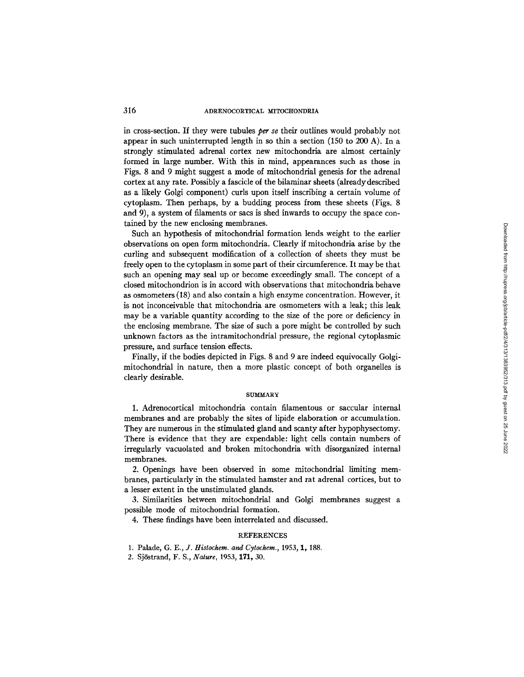### 316 ADRENOCORTICAL MITOCHONDRIA

in cross-section. If they were tubules *per se* their outlines would probably not appear in such uninterrupted length in so thin a section (150 to 200 A). In a strongly stimulated adrenal cortex new mitochondria are almost certainly formed in large number. With this in mind, appearances such as those in Figs. 8 and 9 might suggest a mode of mitochondrial genesis for the adrenal cortex at any rate. Possibly a fascicle of the bilaminar sheets (alreadydescribed as a likely Golgi component) curls upon itself inscribing a certain volume of cytoplasm. Then perhaps, by a budding process from these sheets (Figs. 8 and 9), a system of filaments or sacs is shed inwards to occupy the space contained by the new enclosing membranes.

Such an hypothesis of mitochondrial formation lends weight to the earlier observations on open form mitochondria. Clearly if mitochondria arise by the curling and subsequent modification of a collection of sheets they must be freely open to the cytoplasm in some part of their circumference. It may be that such an opening may seal up or become exceedingly small. The concept of a closed mitochondrion is in accord with observations that mitochondria behave as osmometers (18) and also contain a high enzyme concentration. However, it is not inconceivable that mitochondria are osmometers with a leak; this leak may be a variable quantity according to the size of the pore or deficiency in the enclosing membrane. The size of such a pore might be controlled by such unknown factors as the intramitochondrial pressure, the regional cytoplasmic pressure, and surface tension effects.

Finally, if the bodies depicted in Figs. 8 and 9 are indeed equivocally Golgimitochondrial in nature, then a more plastic concept of both organelles is clearly desirable.

#### **SUMMARY**

1. Adrenocortical mitochondria contain filamentous or saccular internal membranes and are probably the sites of lipide elaboration or accumulation. They are numerous in the stimulated gland and scanty after hypophysectomy. There is evidence that they are expendable: light cells contain numbers of irregularly vacuolated and broken mitochondria with disorganized internal membranes.

2. Openings have been observed in some mitochondrial limiting membranes, particularly in the stimulated hamster and rat adrenal cortices, but to a lesser extent in the unstimulated glands.

3. Similarities between mitochondrial and Golgi membranes suggest a possible mode of mitochondrial formation.

4. These findings have been interrelated and discussed.

#### **REFERENCES**

- 1. Palade, *G. E., J. Histochem. and Cytochem.,* 1953, 1, 188.
- 2. SjSstrand, F. S., *Nature,* 1953, 171, 30.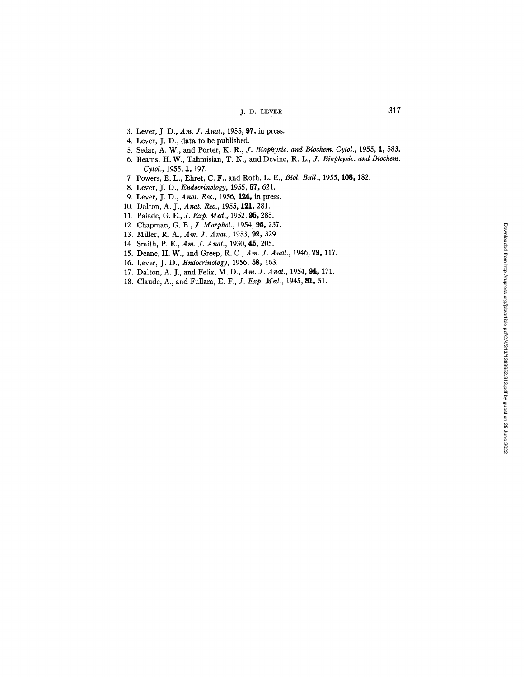# J. D. LEVER 317

- 3. Lever, J. D., *Am. J. Anat.,* 1955, 97, in press.
- 4. Lever, J. D., data to be published.
- 5. Sedar, A. W., and Porter, K. R., *J. Biophysic. and Biochem. Cytol.,* 1955, 1, 583.
- 6. Beams, H. W., Tahmisian, T. N., and Devine, R. L., *J. Biophysic. and Biochem. Cytol.,* 1955, 1, 197.
- 7 Powers, E. L., Ehret, C. F., and Roth, L. E., *Biol. Bull.,* 1955, 108, 182.
- 8. Lever, J. D., *Endocrinology,* 1955, 57, 621.
- 9. Lever, J. D., *Anat. Rec.,* 1956, 124, in press.
- 10. Dalton, A. J., *Anat. Rec.*, 1955, 121, 281.
- 11. Palade, *G. E., J. Rxp. Meal.,* 1952, 95, 285.
- 12. Chapman, *G. B., J. Morphol.,* 1954, 95, 237.
- 13. Miller, R. A., *Am. J. Anat.,* 1953, 92, 329.
- 14. Smith, P. E., *Am. J. Anat.,* 1930, **45,** 205.
- 15. Deane, H. W., and Greep, R. O., *Am. J. Anat.,* 1946, 79, 117.
- 16. Lever, J. D., *Endocrinology,* 1956, 58, 163.
- 17. Dalton, A. J., and Felix, M. D., *Am. J. Anat.,* 1954, 94, 171.
- 18. Claude, A., and Fullam, *E. F., J. Exp. Med.,* 1945, 81, 51.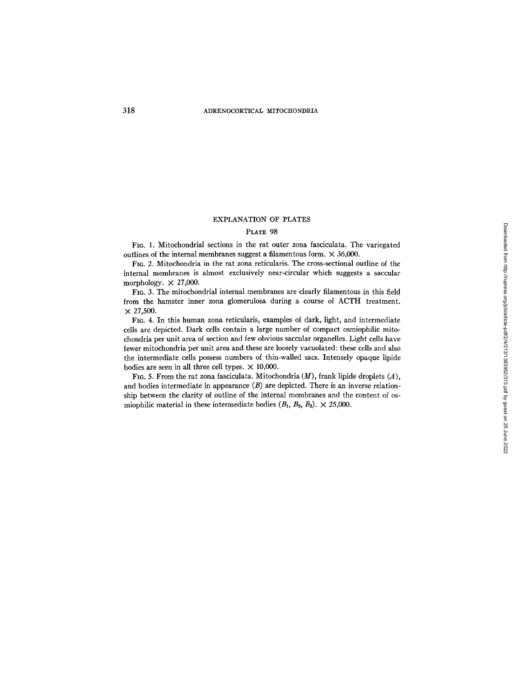#### EXPLANATION OF PLATES

#### PLATE 98

FIG. 1. Mitochondrial sections in the rat outer zona fasciculata. The variegated outlines of the internal membranes suggest a filamentous form.  $\times$  36,000.

FIG. 2. Mitochondria in the rat zona reticularis. The cross-sectional outline of the internal membranes is almost exclusively near-circular which suggests a saccular morphology.  $\times$  27,000.

FIG. 3. The mitochondrial internal membranes are clearly filamentous in this field from the hamster inner zona glomerulosa during a course of ACTH treatment.  $\times$  27,500.

FrG. 4. In this human zona reticularis, examples of dark, light, and intermediate cells are depicted. Dark cells contain a large number of compact osmiophilic mitochondria per unit area of section and few obvious saccular organelles. Light ceils have fewer mitochondria per unit area and these are loosely vacuolated: these cells and also the intermediate cells possess numbers of thin-walled sacs. Intensely opaque lipide bodies are seen in all three cell types.  $\times$  10,000.

FIG. 5. From the rat zona fasciculata. Mitochondria  $(M)$ , frank lipide droplets  $(A)$ , and bodies intermediate in appearance  $(B)$  are depicted. There is an inverse relationship between the clarity of outline of the internal membranes and the content of osmiophilic material in these intermediate bodies  $(B_1, B_2, B_3) \times 25,000$ .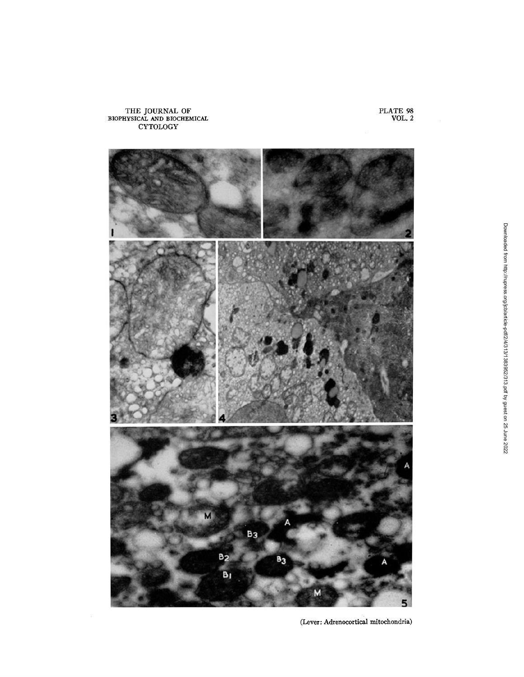

(Lever: Adrenocortical mitochondria)

PLATE 98 VOL. 2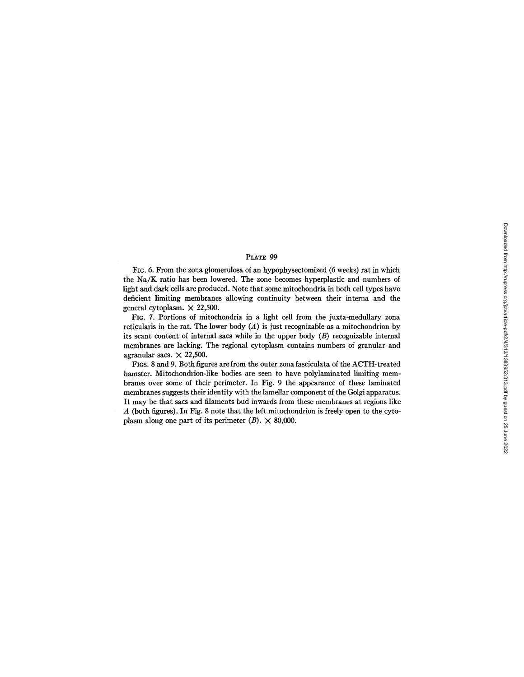#### PLATE 99

FIG. 6. From the zona glomerulosa of an hypophysectomized (6 weeks) rat in which the Na/K ratio has been lowered. The zone becomes hyperplastic and numbers of light and dark cells are produced. Note that some mitochondria in both cell types have deficient limiting membranes allowing continuity between their interna and the general cytoplasm.  $\times$  22,500.

FIG. 7. Portions of mitochondria in a light cell from the juxta-medullary zona reticularis in the rat. The lower body  $(A)$  is just recognizable as a mitochondrion by its scant content of internal sacs while in the upper body  $(B)$  recognizable internal membranes are lacking. The regional cytoplasm contains numbers of granular and agranular sacs.  $\times$  22,500.

FIGS. 8 and 9. Both figures are from the outer zona fasciculata of the ACTH-treated hamster. Mitochondrion-like bodies are seen to have polylaminated limiting membranes over some of their perimeter. In Fig. 9 the appearance of these laminated membranes suggests their identity with the lamellar component of the Golgi apparatus. It may be that sacs and filaments bud inwards from these membranes at regions like  $\overline{A}$  (both figures). In Fig. 8 note that the left mitochondrion is freely open to the cytoplasm along one part of its perimeter  $(B) \times 80,000$ .